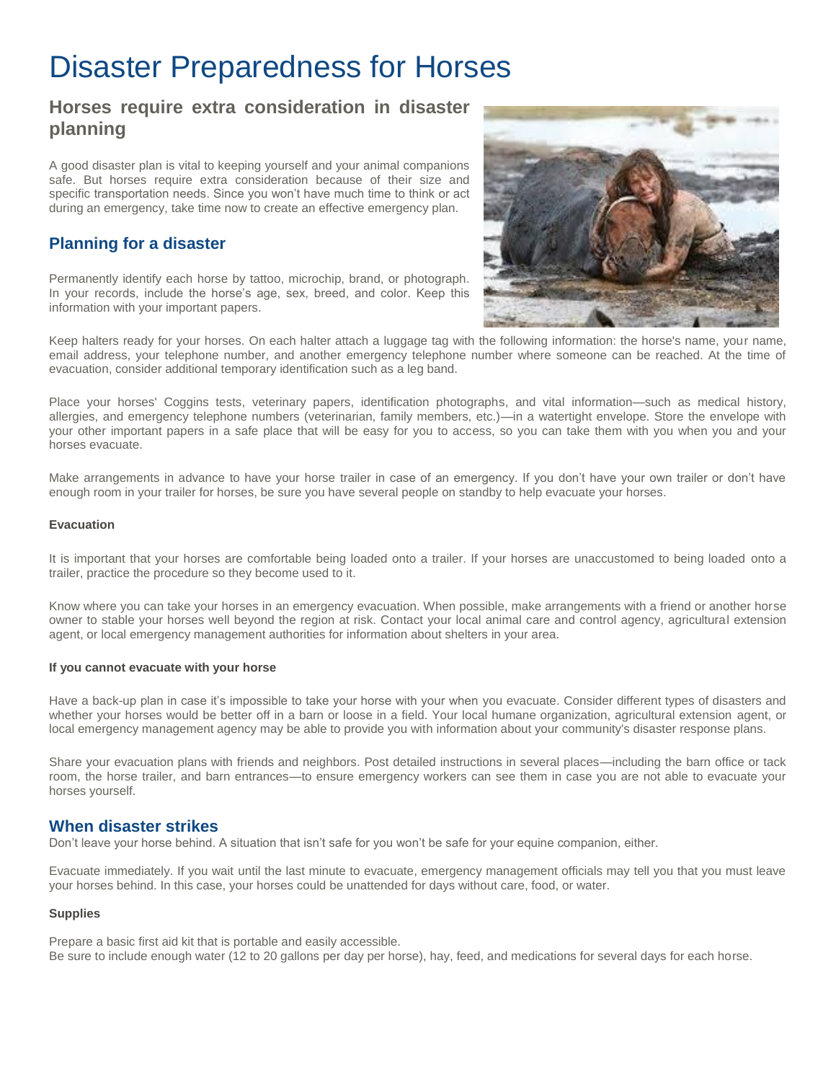# Disaster Preparedness for Horses

## **Horses require extra consideration in disaster planning**

A good disaster plan is vital to keeping yourself and your animal companions safe. But horses require extra consideration because of their size and specific transportation needs. Since you won't have much time to think or act during an emergency, take time now to create an effective emergency plan.

### **Planning for a disaster**

Permanently identify each horse by tattoo, microchip, brand, or photograph. In your records, include the horse's age, sex, breed, and color. Keep this information with your important papers.



Keep halters ready for your horses. On each halter attach a luggage tag with the following information: the horse's name, your name, email address, your telephone number, and another emergency telephone number where someone can be reached. At the time of evacuation, consider additional temporary identification such as a leg band.

Place your horses' Coggins tests, veterinary papers, identification photographs, and vital information—such as medical history, allergies, and emergency telephone numbers (veterinarian, family members, etc.)—in a watertight envelope. Store the envelope with your other important papers in a safe place that will be easy for you to access, so you can take them with you when you and your horses evacuate.

Make arrangements in advance to have your horse trailer in case of an emergency. If you don't have your own trailer or don't have enough room in your trailer for horses, be sure you have several people on standby to help evacuate your horses.

#### **Evacuation**

It is important that your horses are comfortable being loaded onto a trailer. If your horses are unaccustomed to being loaded onto a trailer, practice the procedure so they become used to it.

Know where you can take your horses in an emergency evacuation. When possible, make arrangements with a friend or another horse owner to stable your horses well beyond the region at risk. Contact your local animal care and control agency, agricultural extension agent, or local emergency management authorities for information about shelters in your area.

#### **If you cannot evacuate with your horse**

Have a back-up plan in case it's impossible to take your horse with your when you evacuate. Consider different types of disasters and whether your horses would be better off in a barn or loose in a field. Your local humane organization, agricultural extension agent, or local emergency management agency may be able to provide you with information about your community's disaster response plans.

Share your evacuation plans with friends and neighbors. Post detailed instructions in several places—including the barn office or tack room, the horse trailer, and barn entrances—to ensure emergency workers can see them in case you are not able to evacuate your horses yourself.

#### **When disaster strikes**

Don't leave your horse behind. A situation that isn't safe for you won't be safe for your equine companion, either.

Evacuate immediately. If you wait until the last minute to evacuate, emergency management officials may tell you that you must leave your horses behind. In this case, your horses could be unattended for days without care, food, or water.

#### **Supplies**

Prepare a basic first aid kit that is portable and easily accessible.

Be sure to include enough water (12 to 20 gallons per day per horse), hay, feed, and medications for several days for each horse.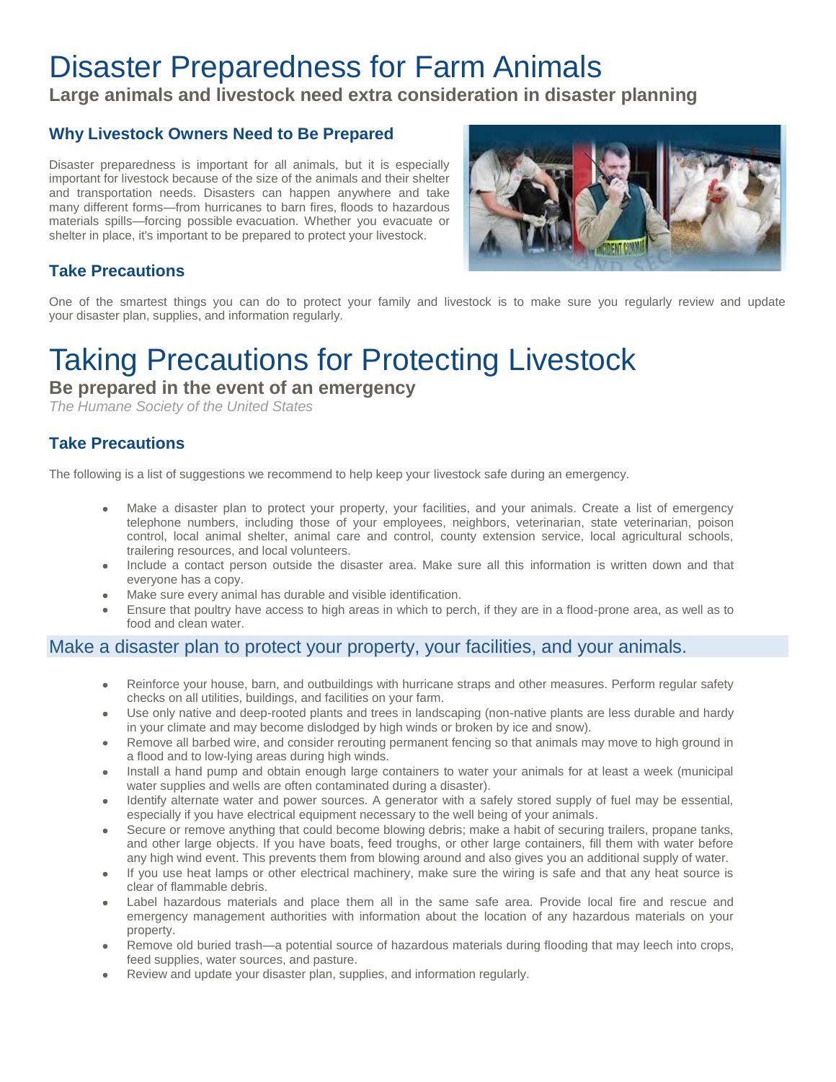# Disaster Preparedness for Farm Animals

**Large animals and livestock need extra consideration in disaster planning**

### **Why Livestock Owners Need to Be Prepared**

Disaster preparedness is important for all animals, but it is especially important for livestock because of the size of the animals and their shelter and transportation needs. Disasters can happen anywhere and take many different forms—from hurricanes to barn fires, floods to hazardous materials spills—forcing possible evacuation. Whether you evacuate or shelter in place, it's important to be prepared to protect your livestock.



## **Take Precautions**

One of the smartest things you can do to protect your family and livestock is to make sure you regularly review and update your disaster plan, supplies, and information regularly.

# Taking Precautions for Protecting Livestock

**Be prepared in the event of an emergency**

*The Humane Society of the United States* 

## **Take Precautions**

The following is a list of suggestions we recommend to help keep your livestock safe during an emergency.

- Make a disaster plan to protect your property, your facilities, and your animals. Create a list of emergency telephone numbers, including those of your employees, neighbors, veterinarian, state veterinarian, poison control, local animal shelter, animal care and control, county extension service, local agricultural schools, trailering resources, and local volunteers.
- Include a contact person outside the disaster area. Make sure all this information is written down and that everyone has a copy.
- Make sure every animal has durable and visible identification.
- Ensure that poultry have access to high areas in which to perch, if they are in a flood-prone area, as well as to food and clean water.

### Make a disaster plan to protect your property, your facilities, and your animals.

- Reinforce your house, barn, and outbuildings with hurricane straps and other measures. Perform regular safety checks on all utilities, buildings, and facilities on your farm.
- Use only native and deep-rooted plants and trees in landscaping (non-native plants are less durable and hardy in your climate and may become dislodged by high winds or broken by ice and snow).
- Remove all barbed wire, and consider rerouting permanent fencing so that animals may move to high ground in a flood and to low-lying areas during high winds.
- Install a hand pump and obtain enough large containers to water your animals for at least a week (municipal water supplies and wells are often contaminated during a disaster).
- Identify alternate water and power sources. A generator with a safely stored supply of fuel may be essential, especially if you have electrical equipment necessary to the well being of your animals.
- Secure or remove anything that could become blowing debris; make a habit of securing trailers, propane tanks, and other large objects. If you have boats, feed troughs, or other large containers, fill them with water before any high wind event. This prevents them from blowing around and also gives you an additional supply of water.
- If you use heat lamps or other electrical machinery, make sure the wiring is safe and that any heat source is clear of flammable debris.
- Label hazardous materials and place them all in the same safe area. Provide local fire and rescue and emergency management authorities with information about the location of any hazardous materials on your property.
- Remove old buried trash—a potential source of hazardous materials during flooding that may leech into crops, feed supplies, water sources, and pasture.
- Review and update your disaster plan, supplies, and information regularly.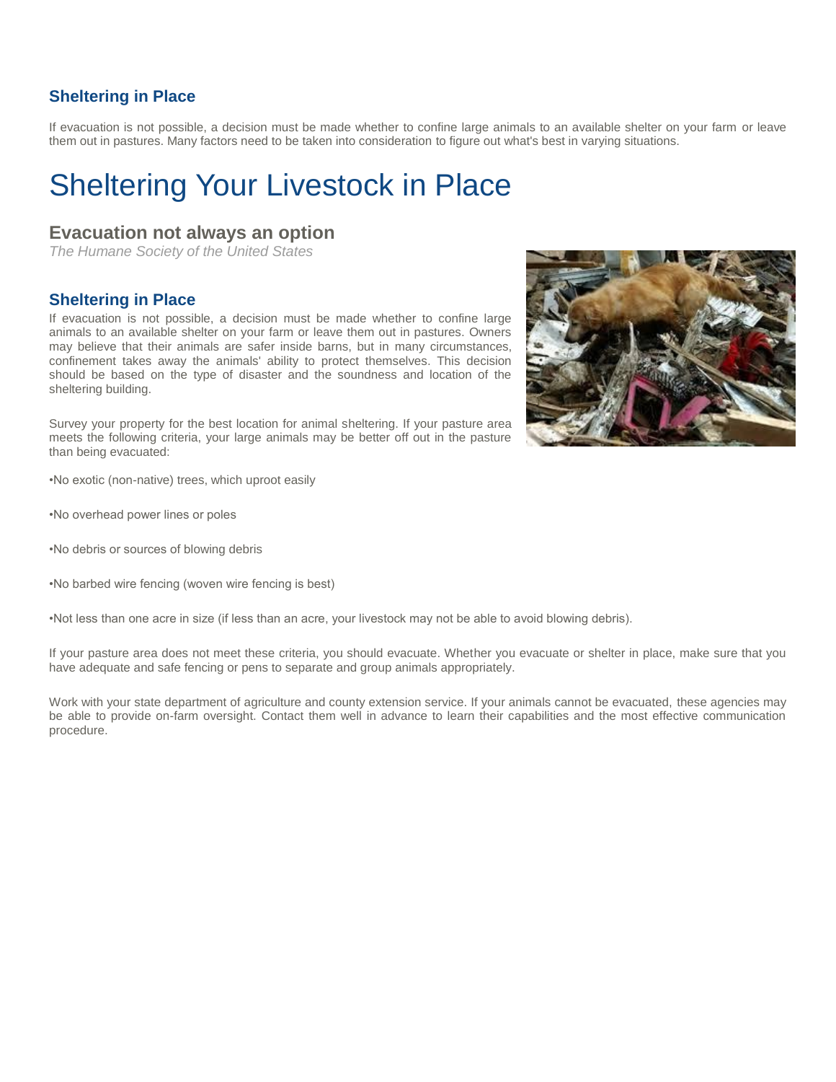#### **Sheltering in Place**

If evacuation is not possible, a decision must be made whether to confine large animals to an available shelter on your farm or leave them out in pastures. Many factors need to be taken into consideration to figure out what's best in varying situations.

# Sheltering Your Livestock in Place

### **Evacuation not always an option**

*The Humane Society of the United States* 

#### **Sheltering in Place**

If evacuation is not possible, a decision must be made whether to confine large animals to an available shelter on your farm or leave them out in pastures. Owners may believe that their animals are safer inside barns, but in many circumstances, confinement takes away the animals' ability to protect themselves. This decision should be based on the type of disaster and the soundness and location of the sheltering building.

Survey your property for the best location for animal sheltering. If your pasture area meets the following criteria, your large animals may be better off out in the pasture than being evacuated:

•No exotic (non-native) trees, which uproot easily

- •No overhead power lines or poles
- •No debris or sources of blowing debris
- •No barbed wire fencing (woven wire fencing is best)

•Not less than one acre in size (if less than an acre, your livestock may not be able to avoid blowing debris).

If your pasture area does not meet these criteria, you should evacuate. Whether you evacuate or shelter in place, make sure that you have adequate and safe fencing or pens to separate and group animals appropriately.

Work with your state department of agriculture and county extension service. If your animals cannot be evacuated, these agencies may be able to provide on-farm oversight. Contact them well in advance to learn their capabilities and the most effective communication procedure.

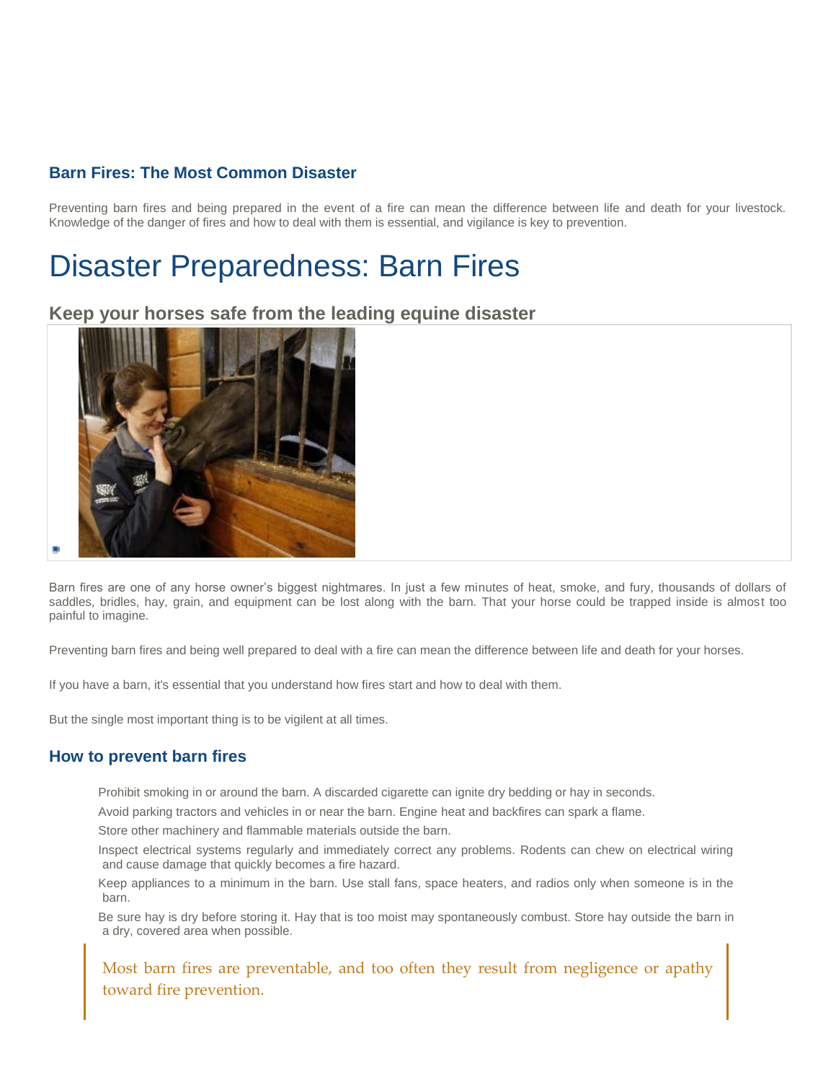### **Barn Fires: The Most Common Disaster**

Preventing barn fires and being prepared in the event of a fire can mean the difference between life and death for your livestock. Knowledge of the danger of fires and how to deal with them is essential, and vigilance is key to prevention.

# Disaster Preparedness: Barn Fires

#### **Keep your horses safe from the leading equine disaster**



Barn fires are one of any horse owner's biggest nightmares. In just a few minutes of heat, smoke, and fury, thousands of dollars of saddles, bridles, hay, grain, and equipment can be lost along with the barn. That your horse could be trapped inside is almost too painful to imagine.

Preventing barn fires and being well prepared to deal with a fire can mean the difference between life and death for your horses.

If you have a barn, it's essential that you understand how fires start and how to deal with them.

But the single most important thing is to be vigilent at all times.

#### **How to prevent barn fires**

Prohibit smoking in or around the barn. A discarded cigarette can ignite dry bedding or hay in seconds.

Avoid parking tractors and vehicles in or near the barn. Engine heat and backfires can spark a flame.

Store other machinery and flammable materials outside the barn.

Inspect electrical systems regularly and immediately correct any problems. Rodents can chew on electrical wiring and cause damage that quickly becomes a fire hazard.

Keep appliances to a minimum in the barn. Use stall fans, space heaters, and radios only when someone is in the barn.

Be sure hay is dry before storing it. Hay that is too moist may spontaneously combust. Store hay outside the barn in a dry, covered area when possible.

Most barn fires are preventable, and too often they result from negligence or apathy toward fire prevention.